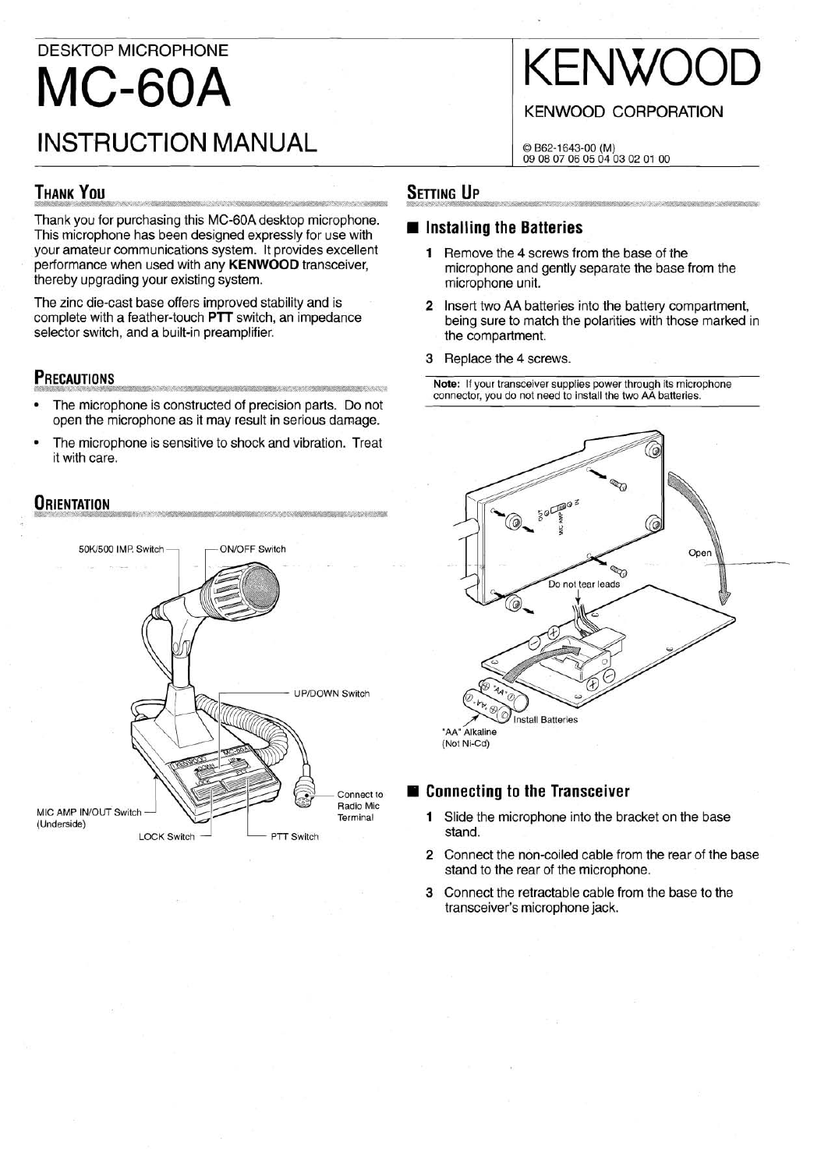## DESKTOP MICROPHONE **MC-60A** INSTRUCTION MANUAL

# KENWOO

#### **KENWOOD CORPORATION**

© B62-1643-00 (M)<br>09 08 07 06 05 04 03 02 01 00

## **THANK YOU**

Thank you for purchasing this MC-6OA desktop microphone. This microphone has been designed expressly for use with your amateur communications system. It provides excellent performance when used with any **KENWOOD** transceiver, thereby upgrading your existing system.

The zinc die-cast base offers improved stability and is complete with a feather-touch **PTT** switch, an impedance selector switch, and a built-in preamplifier.

#### **PRECAUTIONS**

- The microphone is constructed of precision parts. Do not open the microphone as it may result in serious damage.
- The microphone is sensitive to shock and vibration. Treat it with care.

### **ORIENTATION**



#### **SETTING UP**

#### **Installing the Batteries**

- **1** Remove the 4 screws from the base of the microphone and gently separate the base from the microphone unit.
- **2** Insert two AA batteries into the battery compartment, being sure to match the polarities with those marked in the compartment.
- 3 Replace the 4 screws.

**Note:** If your transceiver supplies power through its microphone connector, you do not need to install the two AA batteries.



#### **Il Connecting to the Transceiver**

- **1** Slide the microphone into the bracket on the base stand.
- **2** Connect the non-coiled cable from the rear of the base stand to the rear of the microphone.
- 3 Connect the retractable cable from the base to the transceiver's microphone jack.